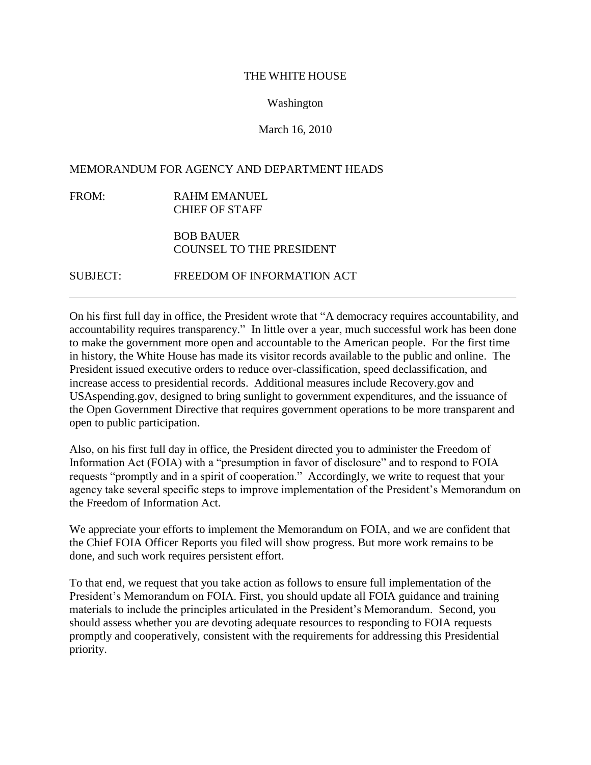#### THE WHITE HOUSE

## Washington

# March 16, 2010

## MEMORANDUM FOR AGENCY AND DEPARTMENT HEADS

FROM: RAHM EMANUEL CHIEF OF STAFF

# BOB BAUER COUNSEL TO THE PRESIDENT

SUBJECT: FREEDOM OF INFORMATION ACT

On his first full day in office, the President wrote that "A democracy requires accountability, and accountability requires transparency." In little over a year, much successful work has been done to make the government more open and accountable to the American people. For the first time in history, the White House has made its visitor records available to the public and online. The President issued executive orders to reduce over-classification, speed declassification, and increase access to presidential records. Additional measures include Recovery.gov and USAspending.gov, designed to bring sunlight to government expenditures, and the issuance of the Open Government Directive that requires government operations to be more transparent and open to public participation.

Also, on his first full day in office, the President directed you to administer the Freedom of Information Act (FOIA) with a "presumption in favor of disclosure" and to respond to FOIA requests "promptly and in a spirit of cooperation." Accordingly, we write to request that your agency take several specific steps to improve implementation of the President's Memorandum on the Freedom of Information Act.

We appreciate your efforts to implement the Memorandum on FOIA, and we are confident that the Chief FOIA Officer Reports you filed will show progress. But more work remains to be done, and such work requires persistent effort.

To that end, we request that you take action as follows to ensure full implementation of the President's Memorandum on FOIA. First, you should update all FOIA guidance and training materials to include the principles articulated in the President's Memorandum. Second, you should assess whether you are devoting adequate resources to responding to FOIA requests promptly and cooperatively, consistent with the requirements for addressing this Presidential priority.